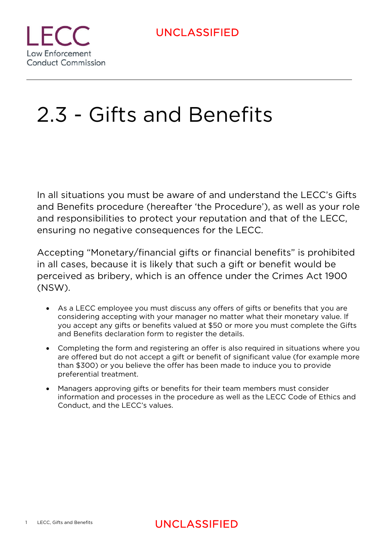

# 2.3 - Gifts and Benefits

In all situations you must be aware of and understand the LECC's Gifts and Benefits procedure (hereafter 'the Procedure'), as well as your role and responsibilities to protect your reputation and that of the LECC, ensuring no negative consequences for the LECC.

Accepting "Monetary/financial gifts or financial benefits" is prohibited in all cases, because it is likely that such a gift or benefit would be perceived as bribery, which is an offence under the Crimes Act 1900 (NSW).

- As a LECC employee you must discuss any offers of gifts or benefits that you are considering accepting with your manager no matter what their monetary value. If you accept any gifts or benefits valued at \$50 or more you must complete the Gifts and Benefits declaration form to register the details.
- Completing the form and registering an offer is also required in situations where you are offered but do not accept a gift or benefit of significant value (for example more than \$300) or you believe the offer has been made to induce you to provide preferential treatment.
- Managers approving gifts or benefits for their team members must consider information and processes in the procedure as well as the LECC Code of Ethics and Conduct, and the LECC's values.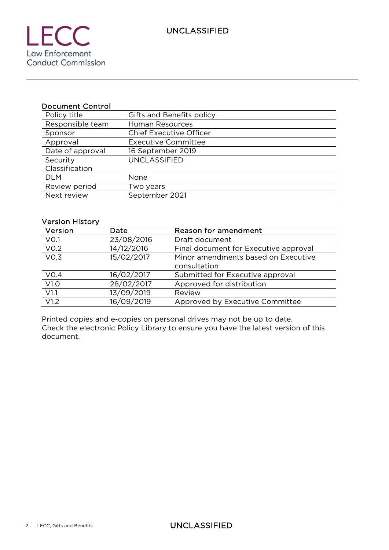#### Document Control

| Policy title     | Gifts and Benefits policy      |
|------------------|--------------------------------|
| Responsible team | <b>Human Resources</b>         |
| Sponsor          | <b>Chief Executive Officer</b> |
| Approval         | <b>Executive Committee</b>     |
| Date of approval | 16 September 2019              |
| Security         | <b>UNCLASSIFIED</b>            |
| Classification   |                                |
| <b>DLM</b>       | None                           |
| Review period    | Two years                      |
| Next review      | September 2021                 |

#### Version History

| Version          | Date       | Reason for amendment                  |
|------------------|------------|---------------------------------------|
| VO.1             | 23/08/2016 | Draft document                        |
| V <sub>0.2</sub> | 14/12/2016 | Final document for Executive approval |
| V <sub>0.3</sub> | 15/02/2017 | Minor amendments based on Executive   |
|                  |            | consultation                          |
| VO.4             | 16/02/2017 | Submitted for Executive approval      |
| V1.0             | 28/02/2017 | Approved for distribution             |
| V1.1             | 13/09/2019 | Review                                |
| V1.2             | 16/09/2019 | Approved by Executive Committee       |

Printed copies and e-copies on personal drives may not be up to date. Check the electronic Policy Library to ensure you have the latest version of this document.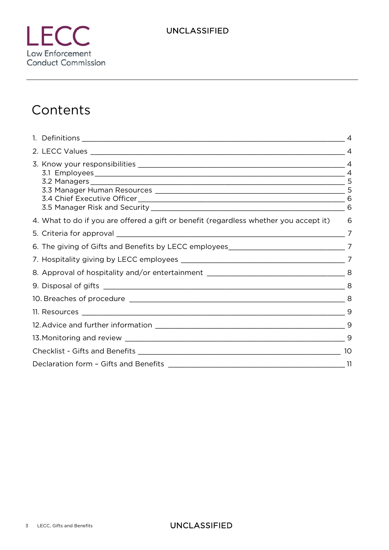# **Contents**

|                                                                                         | $\overline{A}$ |
|-----------------------------------------------------------------------------------------|----------------|
|                                                                                         |                |
| 4. What to do if you are offered a gift or benefit (regardless whether you accept it) 6 |                |
|                                                                                         | $\overline{7}$ |
|                                                                                         |                |
|                                                                                         |                |
|                                                                                         |                |
|                                                                                         |                |
|                                                                                         |                |
|                                                                                         |                |
|                                                                                         |                |
|                                                                                         |                |
|                                                                                         | 10             |
|                                                                                         |                |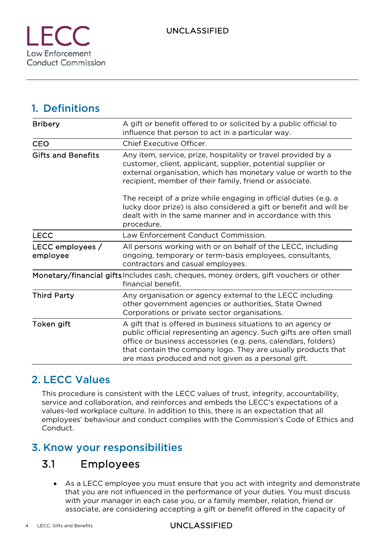1. Definitions

| <b>Bribery</b>               | A gift or benefit offered to or solicited by a public official to<br>influence that person to act in a particular way.                                                                                                                                                                                                        |
|------------------------------|-------------------------------------------------------------------------------------------------------------------------------------------------------------------------------------------------------------------------------------------------------------------------------------------------------------------------------|
| <b>CEO</b>                   | Chief Executive Officer.                                                                                                                                                                                                                                                                                                      |
| <b>Gifts and Benefits</b>    | Any item, service, prize, hospitality or travel provided by a<br>customer, client, applicant, supplier, potential supplier or<br>external organisation, which has monetary value or worth to the<br>recipient, member of their family, friend or associate.                                                                   |
|                              | The receipt of a prize while engaging in official duties (e.g. a<br>lucky door prize) is also considered a gift or benefit and will be<br>dealt with in the same manner and in accordance with this<br>procedure.                                                                                                             |
| <b>LECC</b>                  | Law Enforcement Conduct Commission.                                                                                                                                                                                                                                                                                           |
| LECC employees /<br>employee | All persons working with or on behalf of the LECC, including<br>ongoing, temporary or term-basis employees, consultants,<br>contractors and casual employees.                                                                                                                                                                 |
|                              | Monetary/financial gifts Includes cash, cheques, money orders, gift vouchers or other<br>financial benefit.                                                                                                                                                                                                                   |
| <b>Third Party</b>           | Any organisation or agency external to the LECC including<br>other government agencies or authorities, State Owned<br>Corporations or private sector organisations.                                                                                                                                                           |
| Token gift                   | A gift that is offered in business situations to an agency or<br>public official representing an agency. Such gifts are often small<br>office or business accessories (e.g. pens, calendars, folders)<br>that contain the company logo. They are usually products that<br>are mass produced and not given as a personal gift. |

### 2. LECC Values

This procedure is consistent with the LECC values of trust, integrity, accountability, service and collaboration, and reinforces and embeds the LECC's expectations of a values-led workplace culture. In addition to this, there is an expectation that all employees' behaviour and conduct complies with the Commission's Code of Ethics and Conduct.

### 3. Know your responsibilities

### 3.1 Employees

 As a LECC employee you must ensure that you act with integrity and demonstrate that you are not influenced in the performance of your duties. You must discuss with your manager in each case you, or a family member, relation, friend or associate, are considering accepting a gift or benefit offered in the capacity of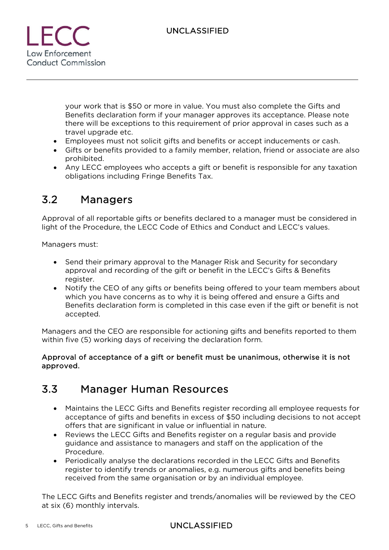

your work that is \$50 or more in value. You must also complete the Gifts and Benefits declaration form if your manager approves its acceptance. Please note there will be exceptions to this requirement of prior approval in cases such as a travel upgrade etc.

- Employees must not solicit gifts and benefits or accept inducements or cash.
- Gifts or benefits provided to a family member, relation, friend or associate are also prohibited.
- Any LECC employees who accepts a gift or benefit is responsible for any taxation obligations including Fringe Benefits Tax.

### 3.2 Managers

Approval of all reportable gifts or benefits declared to a manager must be considered in light of the Procedure, the LECC Code of Ethics and Conduct and LECC's values.

Managers must:

- Send their primary approval to the Manager Risk and Security for secondary approval and recording of the gift or benefit in the LECC's Gifts & Benefits register.
- Notify the CEO of any gifts or benefits being offered to your team members about which you have concerns as to why it is being offered and ensure a Gifts and Benefits declaration form is completed in this case even if the gift or benefit is not accepted.

Managers and the CEO are responsible for actioning gifts and benefits reported to them within five (5) working days of receiving the declaration form.

#### Approval of acceptance of a gift or benefit must be unanimous, otherwise it is not approved.

### 3.3 Manager Human Resources

- Maintains the LECC Gifts and Benefits register recording all employee requests for acceptance of gifts and benefits in excess of \$50 including decisions to not accept offers that are significant in value or influential in nature.
- Reviews the LECC Gifts and Benefits register on a regular basis and provide guidance and assistance to managers and staff on the application of the Procedure.
- Periodically analyse the declarations recorded in the LECC Gifts and Benefits register to identify trends or anomalies, e.g. numerous gifts and benefits being received from the same organisation or by an individual employee.

The LECC Gifts and Benefits register and trends/anomalies will be reviewed by the CEO at six (6) monthly intervals.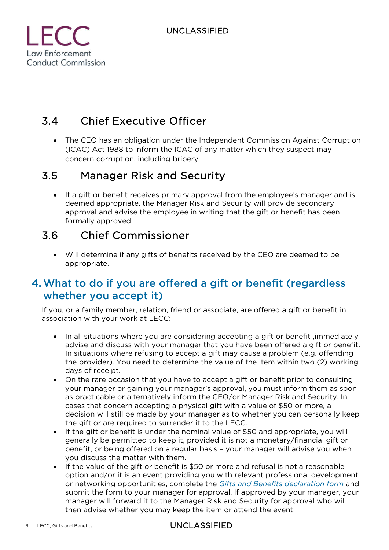

### 3.4 Chief Executive Officer

 The CEO has an obligation under the Independent Commission Against Corruption (ICAC) Act 1988 to inform the ICAC of any matter which they suspect may concern corruption, including bribery.

### 3.5 Manager Risk and Security

 If a gift or benefit receives primary approval from the employee's manager and is deemed appropriate, the Manager Risk and Security will provide secondary approval and advise the employee in writing that the gift or benefit has been formally approved.

### 3.6 Chief Commissioner

 Will determine if any gifts of benefits received by the CEO are deemed to be appropriate.

### 4.What to do if you are offered a gift or benefit (regardless whether you accept it)

If you, or a family member, relation, friend or associate, are offered a gift or benefit in association with your work at LECC:

- In all situations where you are considering accepting a gift or benefit ,immediately advise and discuss with your manager that you have been offered a gift or benefit. In situations where refusing to accept a gift may cause a problem (e.g. offending the provider). You need to determine the value of the item within two (2) working days of receipt.
- On the rare occasion that you have to accept a gift or benefit prior to consulting your manager or gaining your manager's approval, you must inform them as soon as practicable or alternatively inform the CEO/or Manager Risk and Security. In cases that concern accepting a physical gift with a value of \$50 or more, a decision will still be made by your manager as to whether you can personally keep the gift or are required to surrender it to the LECC.
- If the gift or benefit is under the nominal value of \$50 and appropriate, you will generally be permitted to keep it, provided it is not a monetary/financial gift or benefit, or being offered on a regular basis – your manager will advise you when you discuss the matter with them.
- If the value of the gift or benefit is \$50 or more and refusal is not a reasonable option and/or it is an event providing you with relevant professional development or networking opportunities, complete the *Gifts and Benefits declaration form* and submit the form to your manager for approval. If approved by your manager, your manager will forward it to the Manager Risk and Security for approval who will then advise whether you may keep the item or attend the event.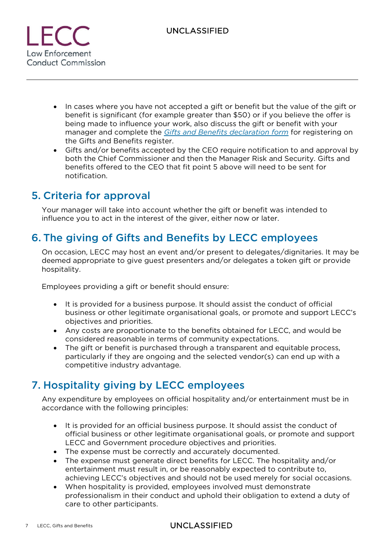

- In cases where you have not accepted a gift or benefit but the value of the gift or benefit is significant (for example greater than \$50) or if you believe the offer is being made to influence your work, also discuss the gift or benefit with your manager and complete the *Gifts and Benefits declaration form* for registering on the Gifts and Benefits register.
- Gifts and/or benefits accepted by the CEO require notification to and approval by both the Chief Commissioner and then the Manager Risk and Security. Gifts and benefits offered to the CEO that fit point 5 above will need to be sent for notification.

### 5. Criteria for approval

Your manager will take into account whether the gift or benefit was intended to influence you to act in the interest of the giver, either now or later.

### 6. The giving of Gifts and Benefits by LECC employees

On occasion, LECC may host an event and/or present to delegates/dignitaries. It may be deemed appropriate to give guest presenters and/or delegates a token gift or provide hospitality.

Employees providing a gift or benefit should ensure:

- It is provided for a business purpose. It should assist the conduct of official business or other legitimate organisational goals, or promote and support LECC's objectives and priorities.
- Any costs are proportionate to the benefits obtained for LECC, and would be considered reasonable in terms of community expectations.
- The gift or benefit is purchased through a transparent and equitable process, particularly if they are ongoing and the selected vendor(s) can end up with a competitive industry advantage.

### 7. Hospitality giving by LECC employees

Any expenditure by employees on official hospitality and/or entertainment must be in accordance with the following principles:

- It is provided for an official business purpose. It should assist the conduct of official business or other legitimate organisational goals, or promote and support LECC and Government procedure objectives and priorities.
- The expense must be correctly and accurately documented.
- The expense must generate direct benefits for LECC. The hospitality and/or entertainment must result in, or be reasonably expected to contribute to, achieving LECC's objectives and should not be used merely for social occasions.
- When hospitality is provided, employees involved must demonstrate professionalism in their conduct and uphold their obligation to extend a duty of care to other participants.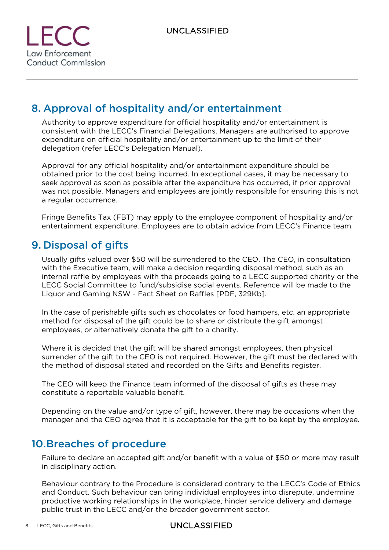

### 8. Approval of hospitality and/or entertainment

Authority to approve expenditure for official hospitality and/or entertainment is consistent with the LECC's Financial Delegations. Managers are authorised to approve expenditure on official hospitality and/or entertainment up to the limit of their delegation (refer LECC's Delegation Manual).

Approval for any official hospitality and/or entertainment expenditure should be obtained prior to the cost being incurred. In exceptional cases, it may be necessary to seek approval as soon as possible after the expenditure has occurred, if prior approval was not possible. Managers and employees are jointly responsible for ensuring this is not a regular occurrence.

Fringe Benefits Tax (FBT) may apply to the employee component of hospitality and/or entertainment expenditure. Employees are to obtain advice from LECC's Finance team.

### 9. Disposal of gifts

Usually gifts valued over \$50 will be surrendered to the CEO. The CEO, in consultation with the Executive team, will make a decision regarding disposal method, such as an internal raffle by employees with the proceeds going to a LECC supported charity or the LECC Social Committee to fund/subsidise social events. Reference will be made to the Liquor and Gaming NSW - Fact Sheet on Raffles [PDF, 329Kb].

In the case of perishable gifts such as chocolates or food hampers, etc. an appropriate method for disposal of the gift could be to share or distribute the gift amongst employees, or alternatively donate the gift to a charity.

Where it is decided that the gift will be shared amongst employees, then physical surrender of the gift to the CEO is not required. However, the gift must be declared with the method of disposal stated and recorded on the Gifts and Benefits register.

The CEO will keep the Finance team informed of the disposal of gifts as these may constitute a reportable valuable benefit.

Depending on the value and/or type of gift, however, there may be occasions when the manager and the CEO agree that it is acceptable for the gift to be kept by the employee.

### 10.Breaches of procedure

Failure to declare an accepted gift and/or benefit with a value of \$50 or more may result in disciplinary action.

Behaviour contrary to the Procedure is considered contrary to the LECC's Code of Ethics and Conduct. Such behaviour can bring individual employees into disrepute, undermine productive working relationships in the workplace, hinder service delivery and damage public trust in the LECC and/or the broader government sector.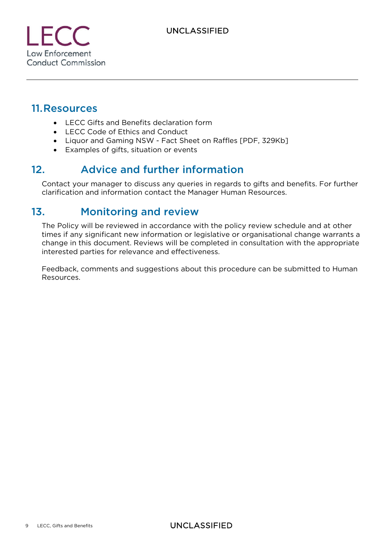**Law Enforcement Conduct Commission** 

### 11.Resources

- LECC Gifts and Benefits declaration form
- LECC Code of Ethics and Conduct
- Liquor and Gaming NSW Fact Sheet on Raffles [PDF, 329Kb]
- Examples of gifts, situation or events

### 12. Advice and further information

Contact your manager to discuss any queries in regards to gifts and benefits. For further clarification and information contact the Manager Human Resources.

### 13. Monitoring and review

The Policy will be reviewed in accordance with the policy review schedule and at other times if any significant new information or legislative or organisational change warrants a change in this document. Reviews will be completed in consultation with the appropriate interested parties for relevance and effectiveness.

Feedback, comments and suggestions about this procedure can be submitted to Human Resources.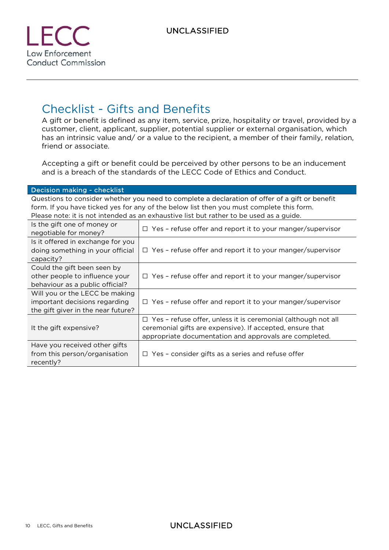

# Checklist - Gifts and Benefits

A gift or benefit is defined as any item, service, prize, hospitality or travel, provided by a customer, client, applicant, supplier, potential supplier or external organisation, which has an intrinsic value and/ or a value to the recipient, a member of their family, relation, friend or associate.

Accepting a gift or benefit could be perceived by other persons to be an inducement and is a breach of the standards of the LECC Code of Ethics and Conduct.

| <b>Decision making - checklist</b>                                                                                                                                                                                                                                                    |                                                                                                                                                                                             |  |  |
|---------------------------------------------------------------------------------------------------------------------------------------------------------------------------------------------------------------------------------------------------------------------------------------|---------------------------------------------------------------------------------------------------------------------------------------------------------------------------------------------|--|--|
| Questions to consider whether you need to complete a declaration of offer of a gift or benefit<br>form. If you have ticked yes for any of the below list then you must complete this form.<br>Please note: it is not intended as an exhaustive list but rather to be used as a guide. |                                                                                                                                                                                             |  |  |
| Is the gift one of money or<br>negotiable for money?                                                                                                                                                                                                                                  | $\Box$ Yes - refuse offer and report it to your manger/supervisor                                                                                                                           |  |  |
| Is it offered in exchange for you<br>doing something in your official<br>capacity?                                                                                                                                                                                                    | $\Box$ Yes - refuse offer and report it to your manger/supervisor                                                                                                                           |  |  |
| Could the gift been seen by<br>other people to influence your<br>behaviour as a public official?                                                                                                                                                                                      | $\Box$ Yes - refuse offer and report it to your manger/supervisor                                                                                                                           |  |  |
| Will you or the LECC be making<br>important decisions regarding<br>the gift giver in the near future?                                                                                                                                                                                 | $\Box$ Yes - refuse offer and report it to your manger/supervisor                                                                                                                           |  |  |
| It the gift expensive?                                                                                                                                                                                                                                                                | $\Box$ Yes - refuse offer, unless it is ceremonial (although not all<br>ceremonial gifts are expensive). If accepted, ensure that<br>appropriate documentation and approvals are completed. |  |  |
| Have you received other gifts<br>from this person/organisation<br>recently?                                                                                                                                                                                                           | $\Box$ Yes - consider gifts as a series and refuse offer                                                                                                                                    |  |  |